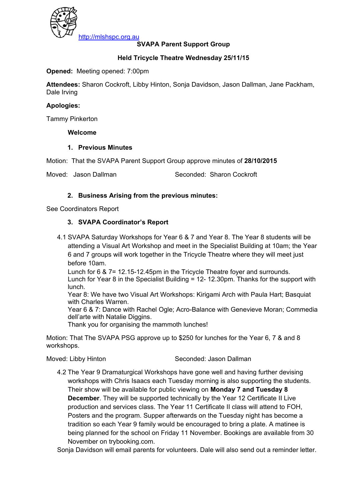

# **SVAPA Parent Support Group**

## **Held Tricycle Theatre Wednesday 25/11/15**

### **Opened:** Meeting opened: 7:00pm

**Attendees:** Sharon Cockroft, Libby Hinton, Sonja Davidson, Jason Dallman, Jane Packham, Dale Irving

#### **Apologies:**

Tammy Pinkerton

#### **Welcome**

#### **1. Previous Minutes**

Motion: That the SVAPA Parent Support Group approve minutes of **28/10/2015** 

Moved: Jason Dallman Seconded: Sharon Cockroft

## **2. Business Arising from the previous minutes:**

See Coordinators Report

## **3. SVAPA Coordinator's Report**

4.1 SVAPA Saturday Workshops for Year 6 & 7 and Year 8. The Year 8 students will be attending a Visual Art Workshop and meet in the Specialist Building at 10am; the Year 6 and 7 groups will work together in the Tricycle Theatre where they will meet just before 10am.

Lunch for 6 & 7= 12.15-12.45pm in the Tricycle Theatre foyer and surrounds. Lunch for Year 8 in the Specialist Building = 12- 12.30pm. Thanks for the support with lunch.

Year 8: We have two Visual Art Workshops: Kirigami Arch with Paula Hart; Basquiat with Charles Warren.

Year 6 & 7: Dance with Rachel Ogle; Acro-Balance with Genevieve Moran; Commedia dell'arte with Natalie Diggins.

Thank you for organising the mammoth lunches!

Motion: That The SVAPA PSG approve up to \$250 for lunches for the Year 6, 7 & and 8 workshops.

Moved: Libby Hinton Seconded: Jason Dallman

4.2 The Year 9 Dramaturgical Workshops have gone well and having further devising workshops with Chris Isaacs each Tuesday morning is also supporting the students. Their show will be available for public viewing on **Monday 7 and Tuesday 8 December**. They will be supported technically by the Year 12 Certificate II Live production and services class. The Year 11 Certificate II class will attend to FOH, Posters and the program. Supper afterwards on the Tuesday night has become a tradition so each Year 9 family would be encouraged to bring a plate. A matinee is being planned for the school on Friday 11 November. Bookings are available from 30 November on trybooking.com.

Sonja Davidson will email parents for volunteers. Dale will also send out a reminder letter.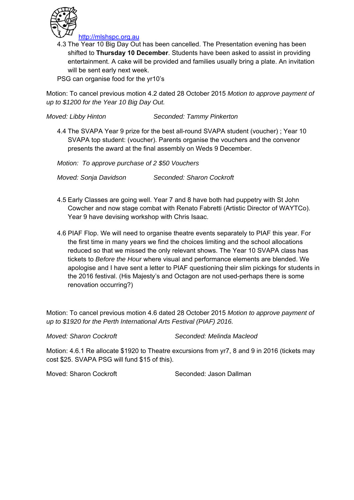

4.3 The Year 10 Big Day Out has been cancelled. The Presentation evening has been shifted to **Thursday 10 December**. Students have been asked to assist in providing entertainment. A cake will be provided and families usually bring a plate. An invitation will be sent early next week.

PSG can organise food for the yr10's

Motion: To cancel previous motion 4.2 dated 28 October 2015 *Motion to approve payment of up to \$1200 for the Year 10 Big Day Out.* 

*Moved: Libby Hinton Seconded: Tammy Pinkerton* 

4.4 The SVAPA Year 9 prize for the best all-round SVAPA student (voucher) ; Year 10 SVAPA top student: (voucher). Parents organise the vouchers and the convenor presents the award at the final assembly on Weds 9 December.

*Motion: To approve purchase of 2 \$50 Vouchers* 

*Moved: Sonja Davidson Seconded: Sharon Cockroft* 

- 4.5 Early Classes are going well. Year 7 and 8 have both had puppetry with St John Cowcher and now stage combat with Renato Fabretti (Artistic Director of WAYTCo). Year 9 have devising workshop with Chris Isaac.
- 4.6 PIAF Flop. We will need to organise theatre events separately to PIAF this year. For the first time in many years we find the choices limiting and the school allocations reduced so that we missed the only relevant shows. The Year 10 SVAPA class has tickets to *Before the Hour* where visual and performance elements are blended. We apologise and I have sent a letter to PIAF questioning their slim pickings for students in the 2016 festival. (His Majesty's and Octagon are not used-perhaps there is some renovation occurring?)

Motion: To cancel previous motion 4.6 dated 28 October 2015 *Motion to approve payment of up to \$1920 for the Perth International Arts Festival (PIAF) 2016.* 

*Moved: Sharon Cockroft Seconded: Melinda Macleod* 

Motion: 4.6.1 Re allocate \$1920 to Theatre excursions from yr7, 8 and 9 in 2016 (tickets may cost \$25. SVAPA PSG will fund \$15 of this).

Moved: Sharon Cockroft Seconded: Jason Dallman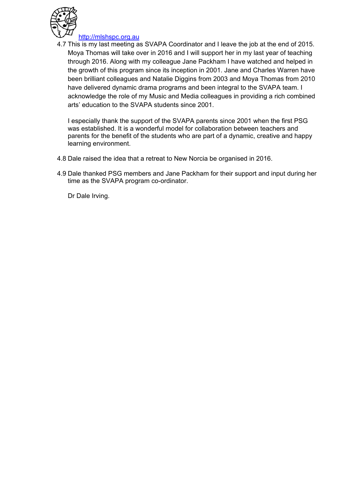

http://mlshspc.org.au

4.7 This is my last meeting as SVAPA Coordinator and I leave the job at the end of 2015. Moya Thomas will take over in 2016 and I will support her in my last year of teaching through 2016. Along with my colleague Jane Packham I have watched and helped in the growth of this program since its inception in 2001. Jane and Charles Warren have been brilliant colleagues and Natalie Diggins from 2003 and Moya Thomas from 2010 have delivered dynamic drama programs and been integral to the SVAPA team. I acknowledge the role of my Music and Media colleagues in providing a rich combined arts' education to the SVAPA students since 2001.

I especially thank the support of the SVAPA parents since 2001 when the first PSG was established. It is a wonderful model for collaboration between teachers and parents for the benefit of the students who are part of a dynamic, creative and happy learning environment.

- 4.8 Dale raised the idea that a retreat to New Norcia be organised in 2016.
- 4.9 Dale thanked PSG members and Jane Packham for their support and input during her time as the SVAPA program co-ordinator.

Dr Dale Irving.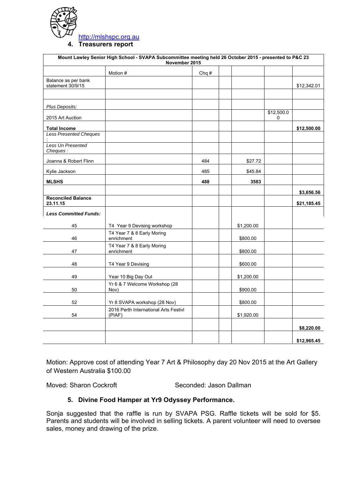

**4. Treasurers report**

| Mount Lawley Senior High School - SVAPA Subcommittee meeting held 26 October 2015 - presented to P&C 23<br>November 2015 |                                                 |      |  |            |                 |             |
|--------------------------------------------------------------------------------------------------------------------------|-------------------------------------------------|------|--|------------|-----------------|-------------|
|                                                                                                                          | Motion #                                        | Chq# |  |            |                 |             |
| Balance as per bank<br>statement 30/9/15                                                                                 |                                                 |      |  |            |                 | \$12,342.01 |
|                                                                                                                          |                                                 |      |  |            |                 |             |
| Plus Deposits:                                                                                                           |                                                 |      |  |            |                 |             |
| 2015 Art Auction                                                                                                         |                                                 |      |  |            | \$12,500.0<br>0 |             |
| <b>Total Income</b>                                                                                                      |                                                 |      |  |            |                 | \$12,500.00 |
| <b>Less Presented Cheques</b>                                                                                            |                                                 |      |  |            |                 |             |
| Less Un Presented<br>Cheques:                                                                                            |                                                 |      |  |            |                 |             |
| Joanna & Robert Flinn                                                                                                    |                                                 | 484  |  | \$27.72    |                 |             |
| Kylie Jackson                                                                                                            |                                                 | 485  |  | \$45.84    |                 |             |
| <b>MLSHS</b>                                                                                                             |                                                 | 488  |  | 3583       |                 |             |
|                                                                                                                          |                                                 |      |  |            |                 | \$3,656.56  |
| <b>Reconciled Balance</b><br>23.11.15                                                                                    |                                                 |      |  |            |                 | \$21,185.45 |
| <b>Less Committed Funds:</b>                                                                                             |                                                 |      |  |            |                 |             |
| 45                                                                                                                       | T4 Year 9 Devising workshop                     |      |  | \$1,200.00 |                 |             |
| 46                                                                                                                       | T4 Year 7 & 8 Early Moring<br>enrichment        |      |  | \$800.00   |                 |             |
| 47                                                                                                                       | T4 Year 7 & 8 Early Moring<br>enrichment        |      |  | \$800.00   |                 |             |
|                                                                                                                          |                                                 |      |  |            |                 |             |
| 48                                                                                                                       | T4 Year 9 Devising                              |      |  | \$600.00   |                 |             |
| 49                                                                                                                       | Year 10 Big Day Out                             |      |  | \$1,200.00 |                 |             |
| 50                                                                                                                       | Yr 6 & 7 Welcome Workshop (28<br>Nov)           |      |  | \$900.00   |                 |             |
| 52                                                                                                                       | Yr 8 SVAPA workshop (28 Nov)                    |      |  | \$800.00   |                 |             |
| 54                                                                                                                       | 2016 Perth International Arts Festivl<br>(PIAF) |      |  | \$1,920.00 |                 |             |
|                                                                                                                          |                                                 |      |  |            |                 | \$8,220.00  |
|                                                                                                                          |                                                 |      |  |            |                 |             |
|                                                                                                                          |                                                 |      |  |            |                 | \$12,965.45 |

Motion: Approve cost of attending Year 7 Art & Philosophy day 20 Nov 2015 at the Art Gallery of Western Australia \$100.00

Moved: Sharon Cockroft Seconded: Jason Dallman

## **5. Divine Food Hamper at Yr9 Odyssey Performance.**

Sonja suggested that the raffle is run by SVAPA PSG. Raffle tickets will be sold for \$5. Parents and students will be involved in selling tickets. A parent volunteer will need to oversee sales, money and drawing of the prize.